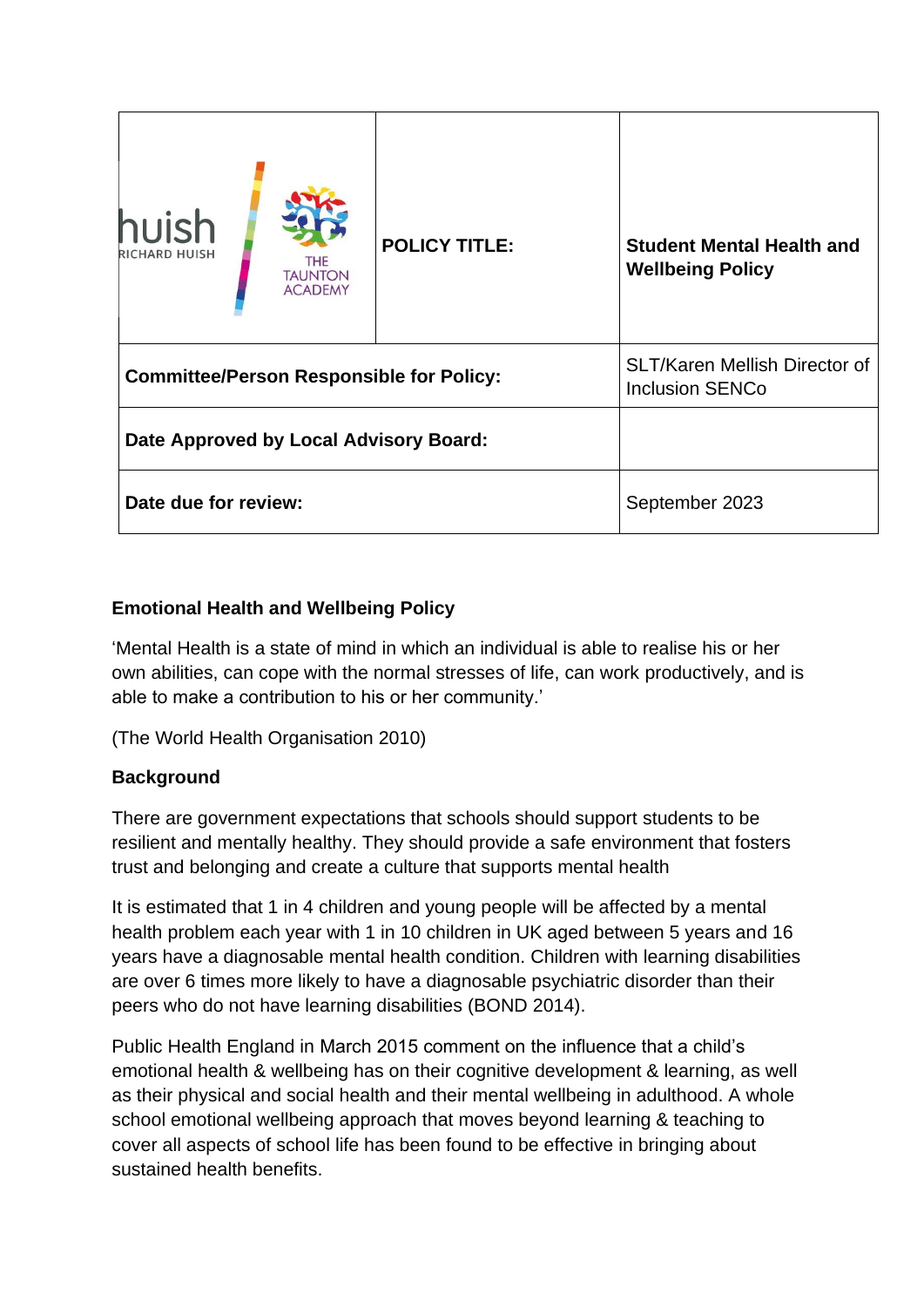| huish<br><b>RICHARD HUISH</b>                   | <b>THE</b><br><b>TAUNTON</b><br><b>ACADEMY</b> | <b>POLICY TITLE:</b>                                           | <b>Student Mental Health and</b><br><b>Wellbeing Policy</b> |
|-------------------------------------------------|------------------------------------------------|----------------------------------------------------------------|-------------------------------------------------------------|
| <b>Committee/Person Responsible for Policy:</b> |                                                | <b>SLT/Karen Mellish Director of</b><br><b>Inclusion SENCo</b> |                                                             |
| Date Approved by Local Advisory Board:          |                                                |                                                                |                                                             |
| Date due for review:                            |                                                | September 2023                                                 |                                                             |

# **Emotional Health and Wellbeing Policy**

'Mental Health is a state of mind in which an individual is able to realise his or her own abilities, can cope with the normal stresses of life, can work productively, and is able to make a contribution to his or her community.'

(The World Health Organisation 2010)

# **Background**

There are government expectations that schools should support students to be resilient and mentally healthy. They should provide a safe environment that fosters trust and belonging and create a culture that supports mental health

It is estimated that 1 in 4 children and young people will be affected by a mental health problem each year with 1 in 10 children in UK aged between 5 years and 16 years have a diagnosable mental health condition. Children with learning disabilities are over 6 times more likely to have a diagnosable psychiatric disorder than their peers who do not have learning disabilities (BOND 2014).

Public Health England in March 2015 comment on the influence that a child's emotional health & wellbeing has on their cognitive development & learning, as well as their physical and social health and their mental wellbeing in adulthood. A whole school emotional wellbeing approach that moves beyond learning & teaching to cover all aspects of school life has been found to be effective in bringing about sustained health benefits.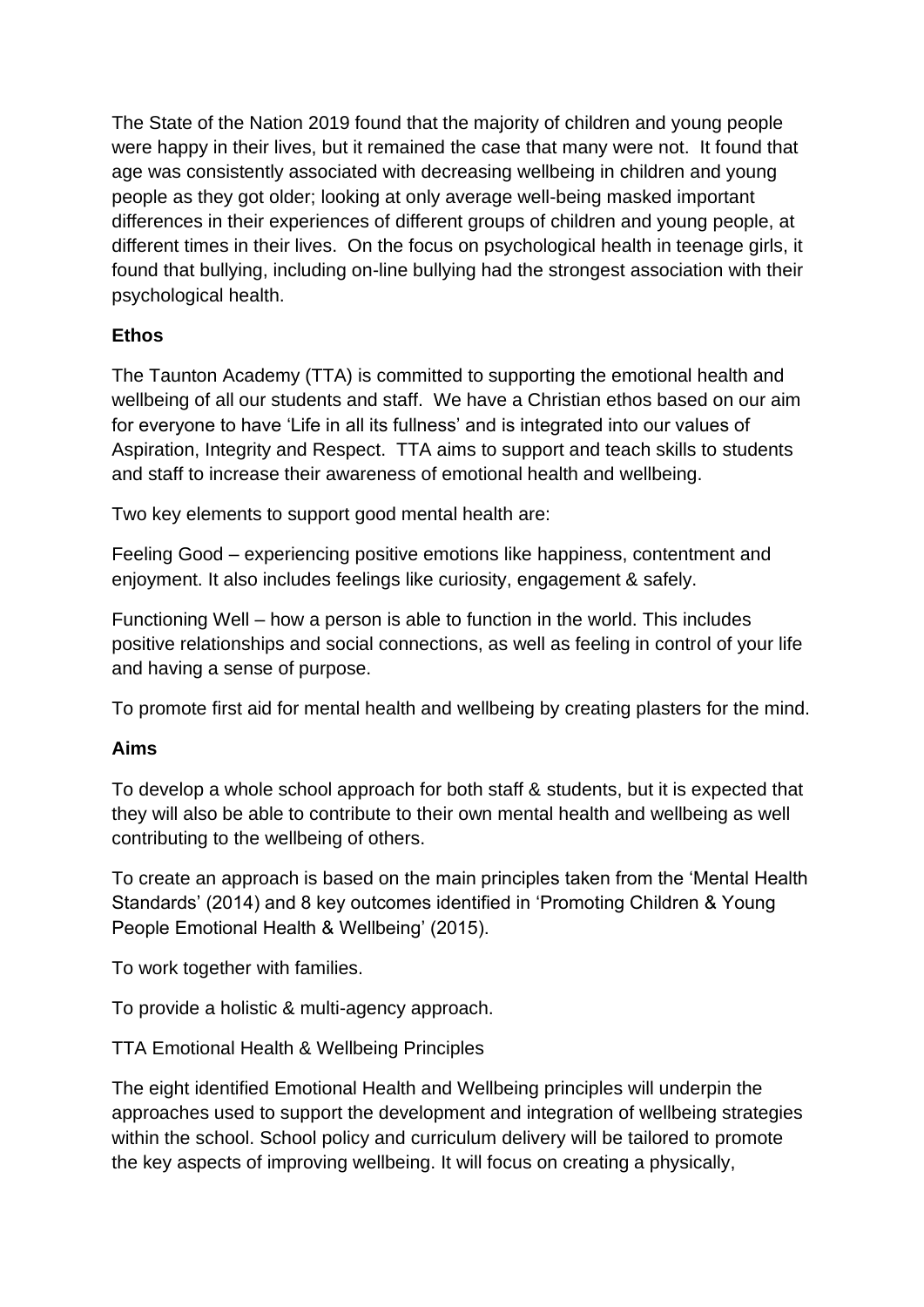The State of the Nation 2019 found that the majority of children and young people were happy in their lives, but it remained the case that many were not. It found that age was consistently associated with decreasing wellbeing in children and young people as they got older; looking at only average well-being masked important differences in their experiences of different groups of children and young people, at different times in their lives. On the focus on psychological health in teenage girls, it found that bullying, including on-line bullying had the strongest association with their psychological health.

# **Ethos**

The Taunton Academy (TTA) is committed to supporting the emotional health and wellbeing of all our students and staff. We have a Christian ethos based on our aim for everyone to have 'Life in all its fullness' and is integrated into our values of Aspiration, Integrity and Respect. TTA aims to support and teach skills to students and staff to increase their awareness of emotional health and wellbeing.

Two key elements to support good mental health are:

Feeling Good – experiencing positive emotions like happiness, contentment and enjoyment. It also includes feelings like curiosity, engagement & safely.

Functioning Well – how a person is able to function in the world. This includes positive relationships and social connections, as well as feeling in control of your life and having a sense of purpose.

To promote first aid for mental health and wellbeing by creating plasters for the mind.

# **Aims**

To develop a whole school approach for both staff & students, but it is expected that they will also be able to contribute to their own mental health and wellbeing as well contributing to the wellbeing of others.

To create an approach is based on the main principles taken from the 'Mental Health Standards' (2014) and 8 key outcomes identified in 'Promoting Children & Young People Emotional Health & Wellbeing' (2015).

To work together with families.

To provide a holistic & multi-agency approach.

TTA Emotional Health & Wellbeing Principles

The eight identified Emotional Health and Wellbeing principles will underpin the approaches used to support the development and integration of wellbeing strategies within the school. School policy and curriculum delivery will be tailored to promote the key aspects of improving wellbeing. It will focus on creating a physically,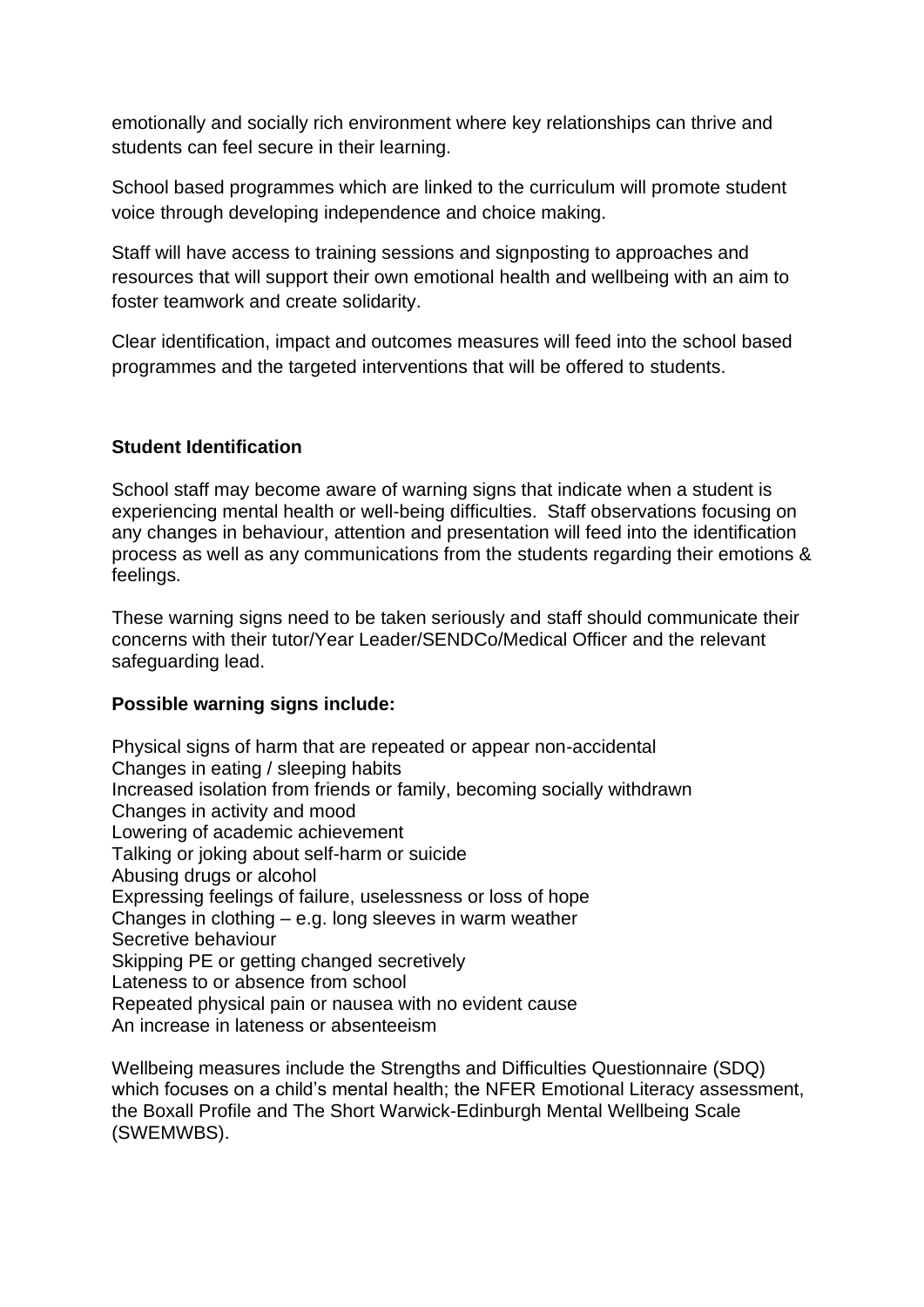emotionally and socially rich environment where key relationships can thrive and students can feel secure in their learning.

School based programmes which are linked to the curriculum will promote student voice through developing independence and choice making.

Staff will have access to training sessions and signposting to approaches and resources that will support their own emotional health and wellbeing with an aim to foster teamwork and create solidarity.

Clear identification, impact and outcomes measures will feed into the school based programmes and the targeted interventions that will be offered to students.

# **Student Identification**

School staff may become aware of warning signs that indicate when a student is experiencing mental health or well-being difficulties. Staff observations focusing on any changes in behaviour, attention and presentation will feed into the identification process as well as any communications from the students regarding their emotions & feelings.

These warning signs need to be taken seriously and staff should communicate their concerns with their tutor/Year Leader/SENDCo/Medical Officer and the relevant safeguarding lead.

# **Possible warning signs include:**

Physical signs of harm that are repeated or appear non-accidental Changes in eating / sleeping habits Increased isolation from friends or family, becoming socially withdrawn Changes in activity and mood Lowering of academic achievement Talking or joking about self-harm or suicide Abusing drugs or alcohol Expressing feelings of failure, uselessness or loss of hope Changes in clothing – e.g. long sleeves in warm weather Secretive behaviour Skipping PE or getting changed secretively Lateness to or absence from school Repeated physical pain or nausea with no evident cause An increase in lateness or absenteeism

Wellbeing measures include the Strengths and Difficulties Questionnaire (SDQ) which focuses on a child's mental health; the NFER Emotional Literacy assessment, the Boxall Profile and The Short Warwick-Edinburgh Mental Wellbeing Scale (SWEMWBS).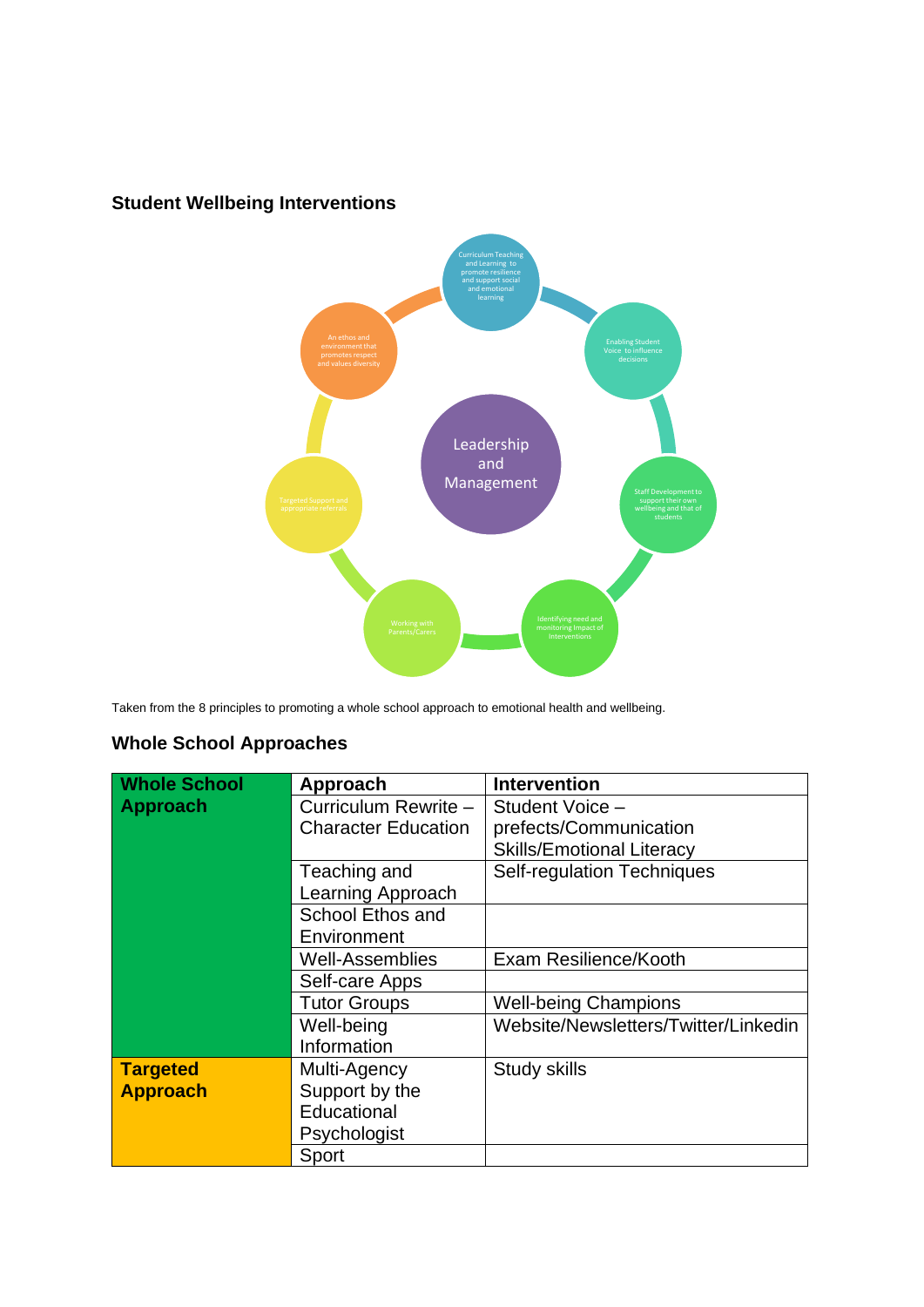

# **Student Wellbeing Interventions**

Taken from the 8 principles to promoting a whole school approach to emotional health and wellbeing.

# **Whole School Approaches**

| <b>Whole School</b> | Approach                   | <b>Intervention</b>                  |
|---------------------|----------------------------|--------------------------------------|
| <b>Approach</b>     | Curriculum Rewrite -       | Student Voice -                      |
|                     | <b>Character Education</b> | prefects/Communication               |
|                     |                            | <b>Skills/Emotional Literacy</b>     |
|                     | Teaching and               | <b>Self-regulation Techniques</b>    |
|                     | Learning Approach          |                                      |
|                     | School Ethos and           |                                      |
|                     | Environment                |                                      |
|                     | <b>Well-Assemblies</b>     | Exam Resilience/Kooth                |
|                     | Self-care Apps             |                                      |
|                     | <b>Tutor Groups</b>        | <b>Well-being Champions</b>          |
|                     | Well-being                 | Website/Newsletters/Twitter/Linkedin |
|                     | Information                |                                      |
| <b>Targeted</b>     | Multi-Agency               | <b>Study skills</b>                  |
| <b>Approach</b>     | Support by the             |                                      |
|                     | Educational                |                                      |
|                     | Psychologist               |                                      |
|                     | Sport                      |                                      |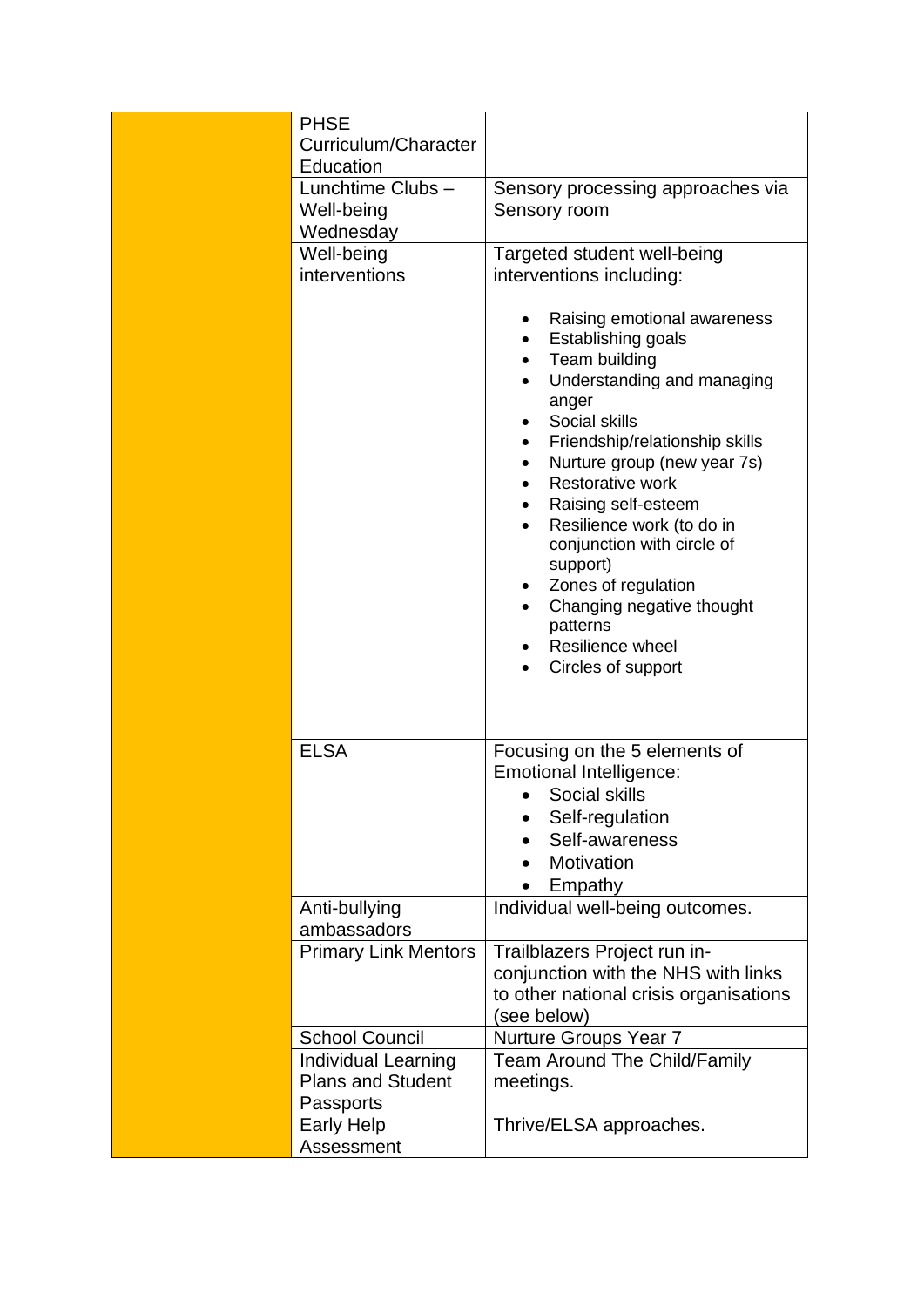| <b>PHSE</b>                  |                                                                                                                                                                                                                                                                                                                                                                                                                                                  |
|------------------------------|--------------------------------------------------------------------------------------------------------------------------------------------------------------------------------------------------------------------------------------------------------------------------------------------------------------------------------------------------------------------------------------------------------------------------------------------------|
| Curriculum/Character         |                                                                                                                                                                                                                                                                                                                                                                                                                                                  |
| Education                    |                                                                                                                                                                                                                                                                                                                                                                                                                                                  |
| Lunchtime Clubs-             | Sensory processing approaches via                                                                                                                                                                                                                                                                                                                                                                                                                |
| Well-being                   | Sensory room                                                                                                                                                                                                                                                                                                                                                                                                                                     |
| Wednesday                    |                                                                                                                                                                                                                                                                                                                                                                                                                                                  |
| Well-being                   | Targeted student well-being                                                                                                                                                                                                                                                                                                                                                                                                                      |
| interventions                |                                                                                                                                                                                                                                                                                                                                                                                                                                                  |
|                              | interventions including:                                                                                                                                                                                                                                                                                                                                                                                                                         |
|                              | Raising emotional awareness<br>٠<br>Establishing goals<br>$\bullet$<br>Team building<br>Understanding and managing<br>anger<br>Social skills<br>Friendship/relationship skills<br>Nurture group (new year 7s)<br><b>Restorative work</b><br>Raising self-esteem<br>Resilience work (to do in<br>conjunction with circle of<br>support)<br>Zones of regulation<br>Changing negative thought<br>patterns<br>Resilience wheel<br>Circles of support |
| <b>ELSA</b>                  | Focusing on the 5 elements of<br><b>Emotional Intelligence:</b><br>Social skills<br>$\bullet$<br>Self-regulation                                                                                                                                                                                                                                                                                                                                 |
|                              | Self-awareness                                                                                                                                                                                                                                                                                                                                                                                                                                   |
|                              | Motivation                                                                                                                                                                                                                                                                                                                                                                                                                                       |
|                              | Empathy                                                                                                                                                                                                                                                                                                                                                                                                                                          |
| Anti-bullying<br>ambassadors | Individual well-being outcomes.                                                                                                                                                                                                                                                                                                                                                                                                                  |
| <b>Primary Link Mentors</b>  | Trailblazers Project run in-                                                                                                                                                                                                                                                                                                                                                                                                                     |
|                              | conjunction with the NHS with links                                                                                                                                                                                                                                                                                                                                                                                                              |
|                              | to other national crisis organisations                                                                                                                                                                                                                                                                                                                                                                                                           |
|                              | (see below)                                                                                                                                                                                                                                                                                                                                                                                                                                      |
| <b>School Council</b>        | Nurture Groups Year 7                                                                                                                                                                                                                                                                                                                                                                                                                            |
| Individual Learning          | <b>Team Around The Child/Family</b>                                                                                                                                                                                                                                                                                                                                                                                                              |
| <b>Plans and Student</b>     | meetings.                                                                                                                                                                                                                                                                                                                                                                                                                                        |
| Passports                    |                                                                                                                                                                                                                                                                                                                                                                                                                                                  |
| <b>Early Help</b>            | Thrive/ELSA approaches.                                                                                                                                                                                                                                                                                                                                                                                                                          |
| Assessment                   |                                                                                                                                                                                                                                                                                                                                                                                                                                                  |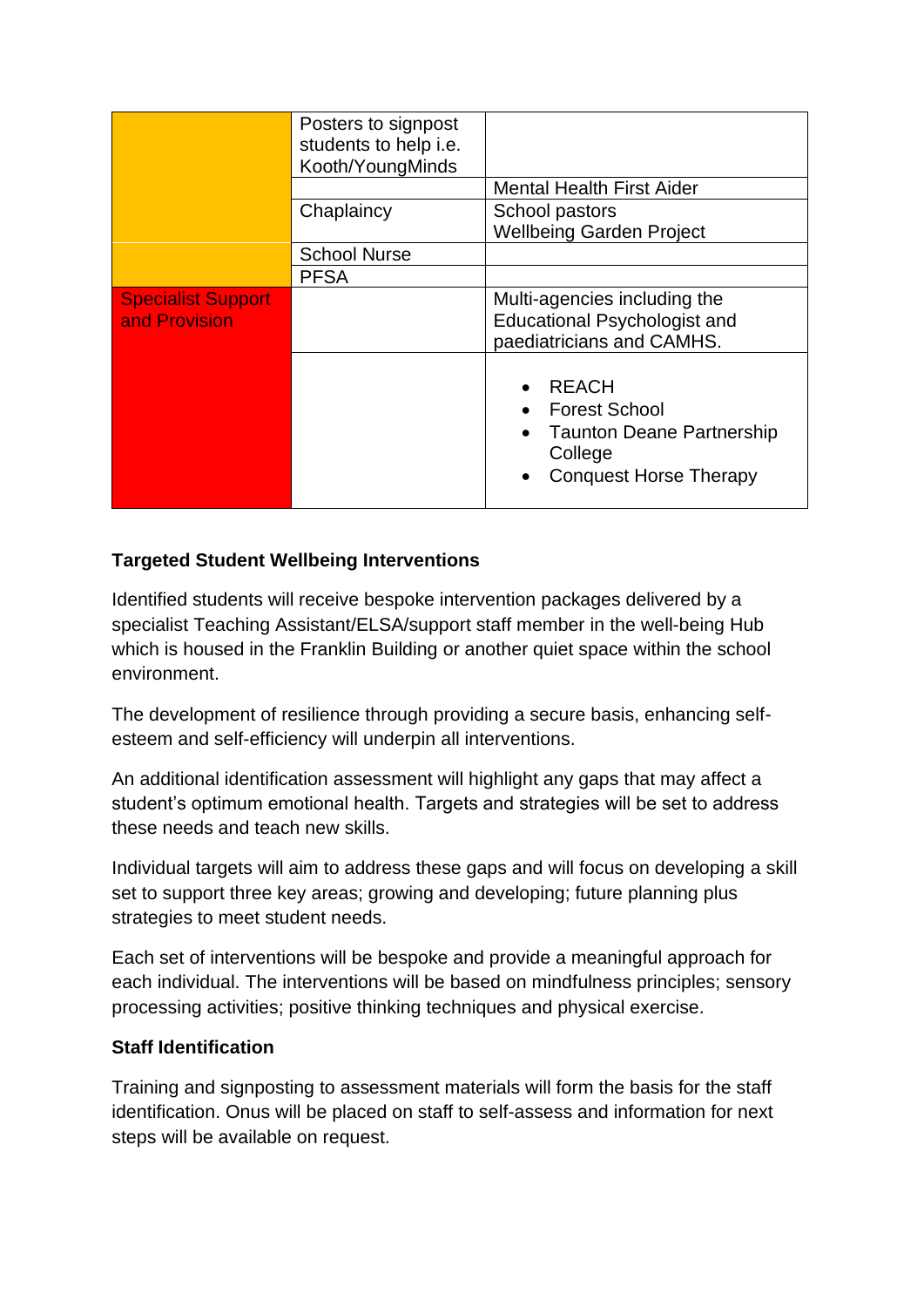|                                            | Posters to signpost<br>students to help i.e.<br>Kooth/YoungMinds | <b>Mental Health First Aider</b>                                                                                                  |  |
|--------------------------------------------|------------------------------------------------------------------|-----------------------------------------------------------------------------------------------------------------------------------|--|
|                                            | Chaplaincy                                                       | School pastors<br><b>Wellbeing Garden Project</b>                                                                                 |  |
|                                            | <b>School Nurse</b>                                              |                                                                                                                                   |  |
|                                            | <b>PFSA</b>                                                      |                                                                                                                                   |  |
| <b>Specialist Support</b><br>and Provision |                                                                  | Multi-agencies including the<br><b>Educational Psychologist and</b><br>paediatricians and CAMHS.                                  |  |
|                                            |                                                                  | <b>REACH</b><br><b>Forest School</b><br><b>Taunton Deane Partnership</b><br>$\bullet$<br>College<br><b>Conquest Horse Therapy</b> |  |

# **Targeted Student Wellbeing Interventions**

Identified students will receive bespoke intervention packages delivered by a specialist Teaching Assistant/ELSA/support staff member in the well-being Hub which is housed in the Franklin Building or another quiet space within the school environment.

The development of resilience through providing a secure basis, enhancing selfesteem and self-efficiency will underpin all interventions.

An additional identification assessment will highlight any gaps that may affect a student's optimum emotional health. Targets and strategies will be set to address these needs and teach new skills.

Individual targets will aim to address these gaps and will focus on developing a skill set to support three key areas; growing and developing; future planning plus strategies to meet student needs.

Each set of interventions will be bespoke and provide a meaningful approach for each individual. The interventions will be based on mindfulness principles; sensory processing activities; positive thinking techniques and physical exercise.

# **Staff Identification**

Training and signposting to assessment materials will form the basis for the staff identification. Onus will be placed on staff to self-assess and information for next steps will be available on request.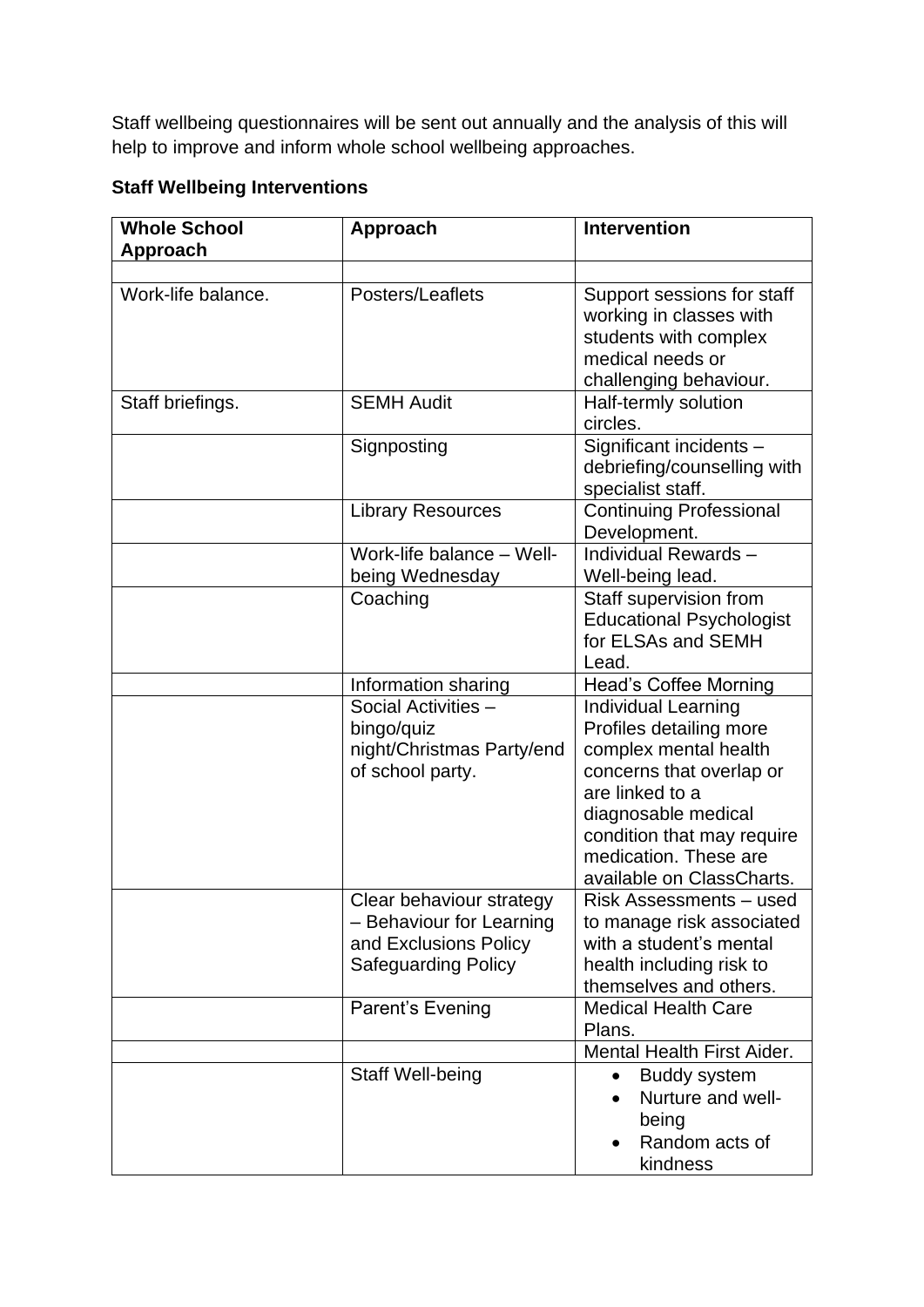Staff wellbeing questionnaires will be sent out annually and the analysis of this will help to improve and inform whole school wellbeing approaches.

# **Staff Wellbeing Interventions**

| <b>Whole School</b><br>Approach | <b>Approach</b>                                                                                             | <b>Intervention</b>                                                                                                                                                                                                                      |
|---------------------------------|-------------------------------------------------------------------------------------------------------------|------------------------------------------------------------------------------------------------------------------------------------------------------------------------------------------------------------------------------------------|
|                                 |                                                                                                             |                                                                                                                                                                                                                                          |
| Work-life balance.              | Posters/Leaflets                                                                                            | Support sessions for staff<br>working in classes with<br>students with complex<br>medical needs or<br>challenging behaviour.                                                                                                             |
| Staff briefings.                | <b>SEMH Audit</b>                                                                                           | Half-termly solution<br>circles.                                                                                                                                                                                                         |
|                                 | Signposting                                                                                                 | Significant incidents -<br>debriefing/counselling with<br>specialist staff.                                                                                                                                                              |
|                                 | <b>Library Resources</b>                                                                                    | <b>Continuing Professional</b><br>Development.                                                                                                                                                                                           |
|                                 | Work-life balance - Well-<br>being Wednesday                                                                | Individual Rewards -<br>Well-being lead.                                                                                                                                                                                                 |
|                                 | Coaching                                                                                                    | Staff supervision from<br><b>Educational Psychologist</b><br>for ELSAs and SEMH<br>Lead.                                                                                                                                                 |
|                                 | Information sharing                                                                                         | <b>Head's Coffee Morning</b>                                                                                                                                                                                                             |
|                                 | Social Activities -<br>bingo/quiz<br>night/Christmas Party/end<br>of school party.                          | <b>Individual Learning</b><br>Profiles detailing more<br>complex mental health<br>concerns that overlap or<br>are linked to a<br>diagnosable medical<br>condition that may require<br>medication. These are<br>available on ClassCharts. |
|                                 | Clear behaviour strategy<br>- Behaviour for Learning<br>and Exclusions Policy<br><b>Safeguarding Policy</b> | Risk Assessments - used<br>to manage risk associated<br>with a student's mental<br>health including risk to<br>themselves and others.                                                                                                    |
|                                 | Parent's Evening                                                                                            | <b>Medical Health Care</b><br>Plans.                                                                                                                                                                                                     |
|                                 |                                                                                                             | Mental Health First Aider.                                                                                                                                                                                                               |
|                                 | <b>Staff Well-being</b>                                                                                     | <b>Buddy system</b><br>$\bullet$<br>Nurture and well-<br>being<br>Random acts of<br>kindness                                                                                                                                             |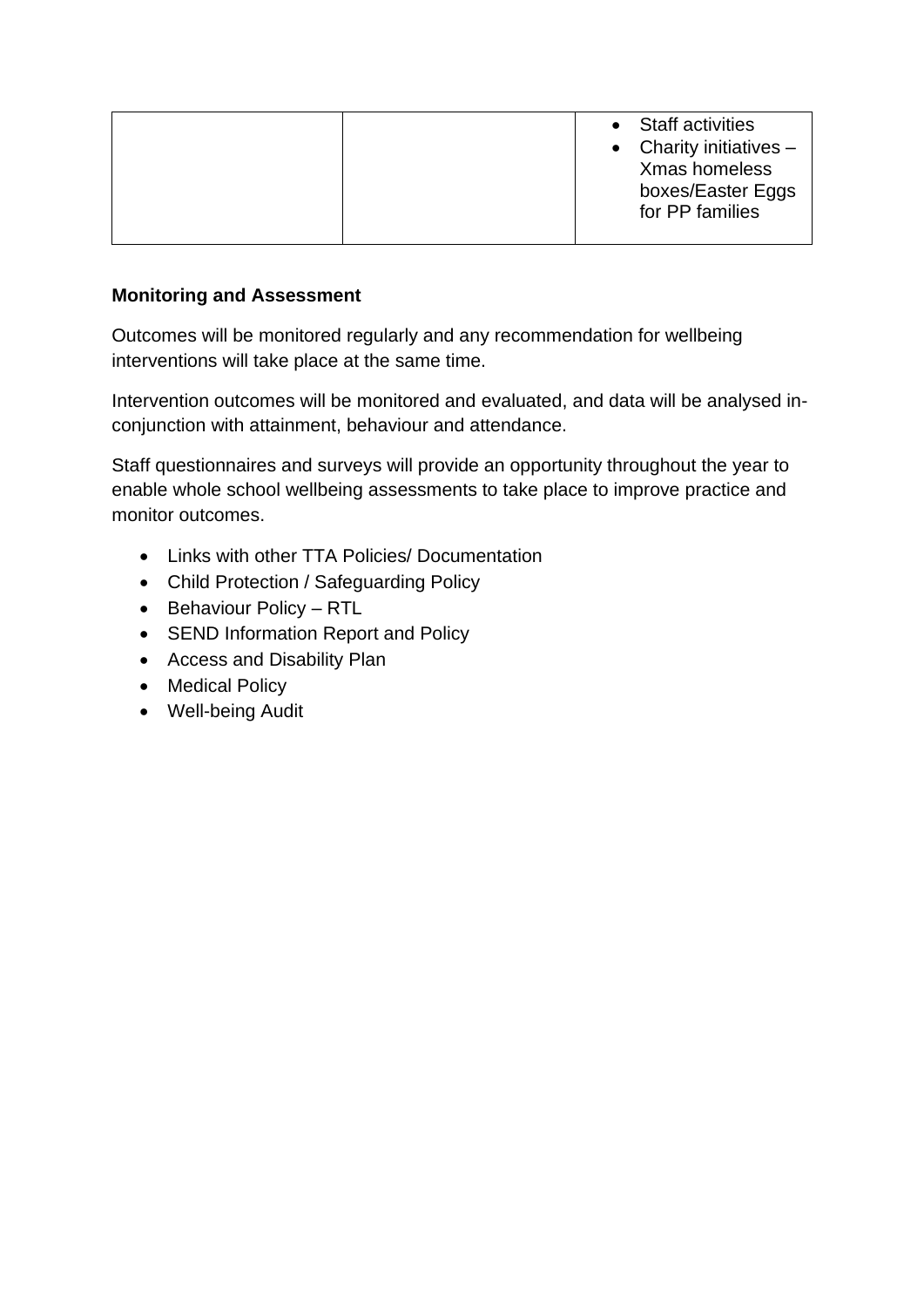#### **Monitoring and Assessment**

Outcomes will be monitored regularly and any recommendation for wellbeing interventions will take place at the same time.

Intervention outcomes will be monitored and evaluated, and data will be analysed inconjunction with attainment, behaviour and attendance.

Staff questionnaires and surveys will provide an opportunity throughout the year to enable whole school wellbeing assessments to take place to improve practice and monitor outcomes.

- Links with other TTA Policies/ Documentation
- Child Protection / Safeguarding Policy
- Behaviour Policy RTL
- SEND Information Report and Policy
- Access and Disability Plan
- Medical Policy
- Well-being Audit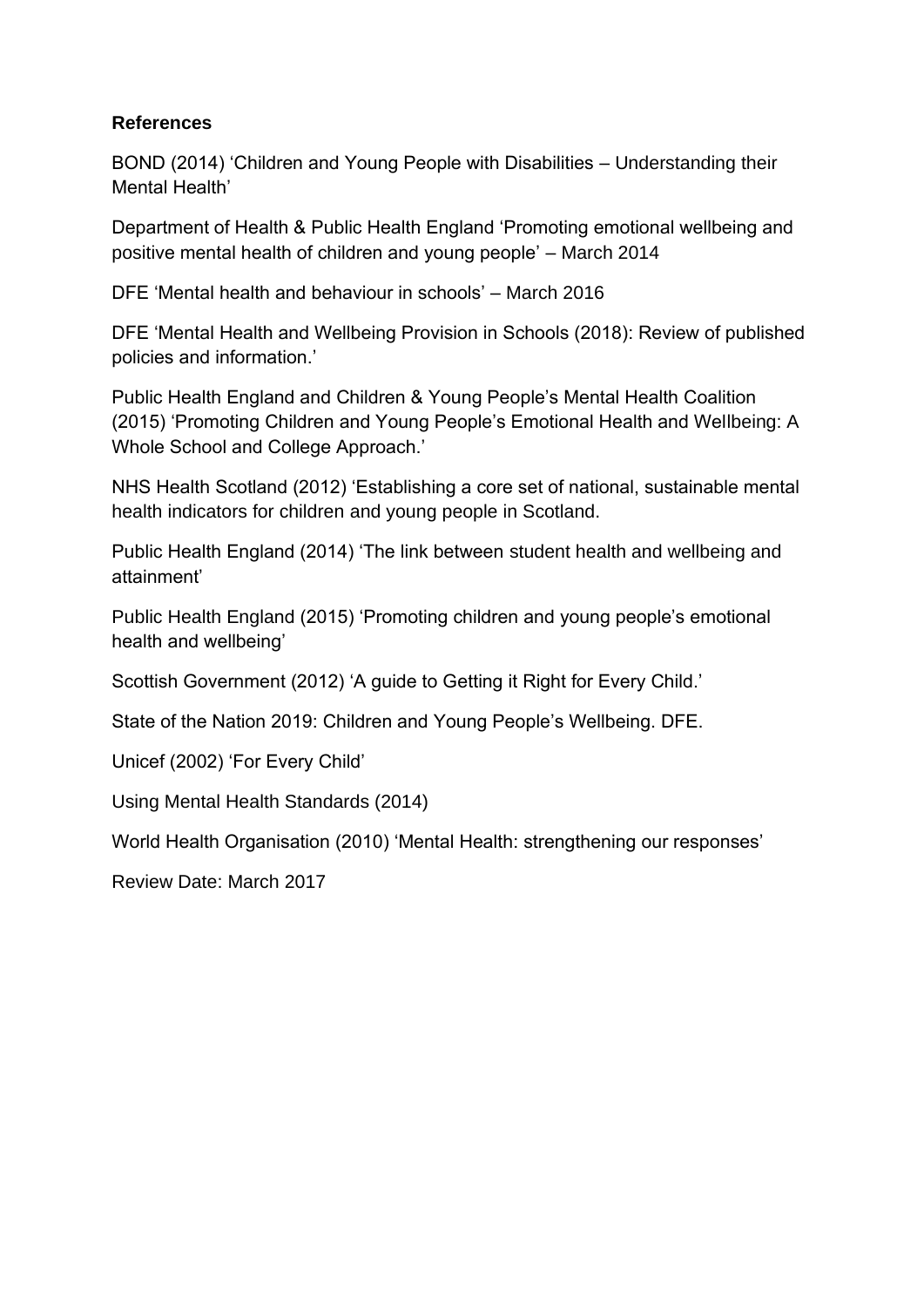# **References**

BOND (2014) 'Children and Young People with Disabilities – Understanding their Mental Health'

Department of Health & Public Health England 'Promoting emotional wellbeing and positive mental health of children and young people' – March 2014

DFE 'Mental health and behaviour in schools' – March 2016

DFE 'Mental Health and Wellbeing Provision in Schools (2018): Review of published policies and information.'

Public Health England and Children & Young People's Mental Health Coalition (2015) 'Promoting Children and Young People's Emotional Health and Wellbeing: A Whole School and College Approach.'

NHS Health Scotland (2012) 'Establishing a core set of national, sustainable mental health indicators for children and young people in Scotland.

Public Health England (2014) 'The link between student health and wellbeing and attainment'

Public Health England (2015) 'Promoting children and young people's emotional health and wellbeing'

Scottish Government (2012) 'A guide to Getting it Right for Every Child.'

State of the Nation 2019: Children and Young People's Wellbeing. DFE.

Unicef (2002) 'For Every Child'

Using Mental Health Standards (2014)

World Health Organisation (2010) 'Mental Health: strengthening our responses'

Review Date: March 2017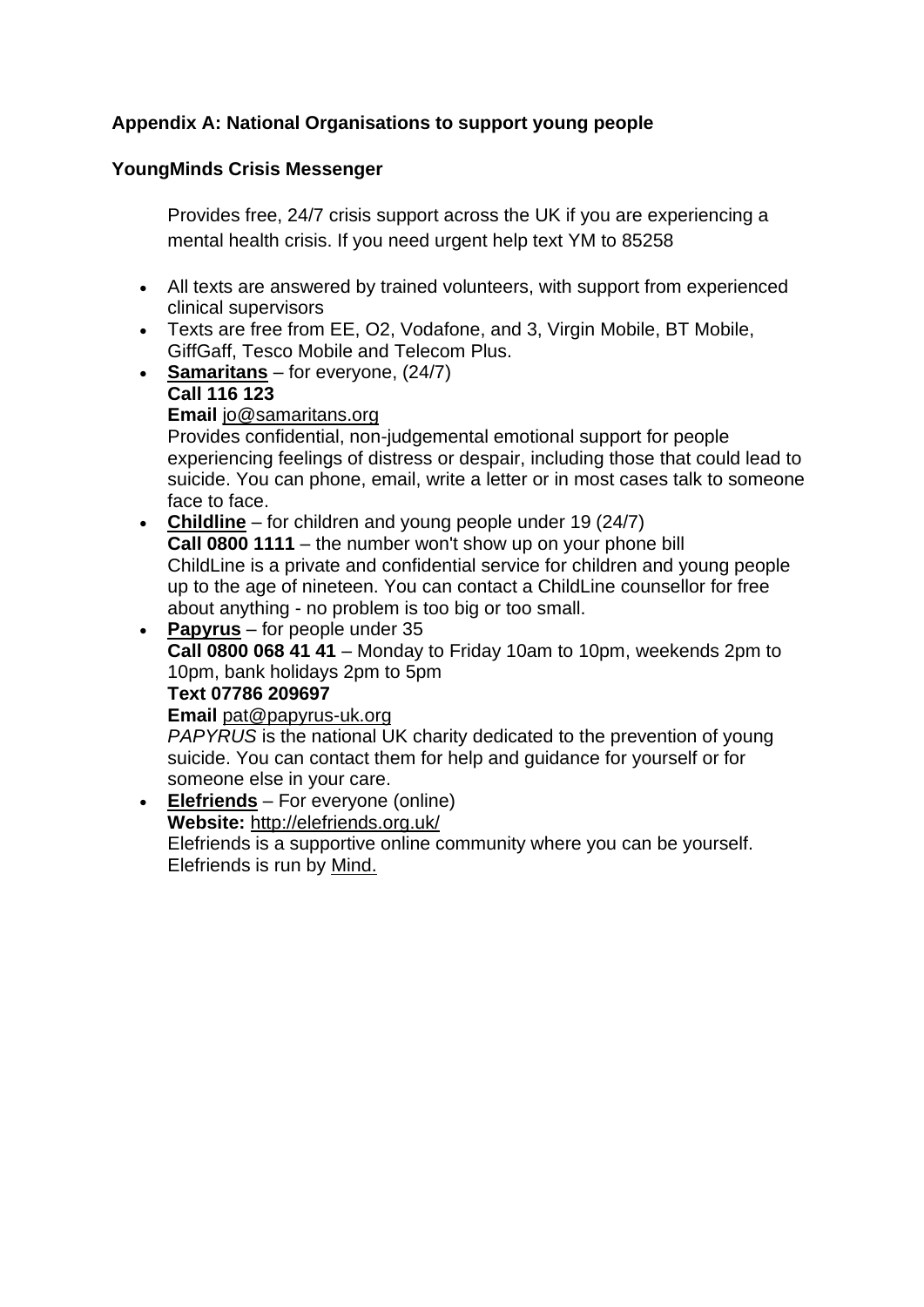# **Appendix A: National Organisations to support young people**

# **YoungMinds Crisis Messenger**

Provides free, 24/7 crisis support across the UK if you are experiencing a mental health crisis. If you need urgent help text YM to 85258

- All texts are answered by trained volunteers, with support from experienced clinical supervisors
- Texts are free from EE, O2, Vodafone, and 3, Virgin Mobile, BT Mobile, GiffGaff, Tesco Mobile and Telecom Plus.
- **[Samaritans](about:blank)** for everyone, (24/7)

#### **Call 116 123 Email** [jo@samaritans.org](about:blank)

Provides confidential, non-judgemental emotional support for people experiencing feelings of distress or despair, including those that could lead to suicide. You can phone, email, write a letter or in most cases talk to someone face to face.

• **[Childline](about:blank)** – for children and young people under 19 (24/7) **Call 0800 1111** – the number won't show up on your phone bill ChildLine is a private and confidential service for children and young people up to the age of nineteen. You can contact a ChildLine counsellor for free about anything - no problem is too big or too small.

• **[Papyrus](about:blank)** – for people under 35 **Call 0800 068 41 41** – Monday to Friday 10am to 10pm, weekends 2pm to 10pm, bank holidays 2pm to 5pm **Text 07786 209697 Email** [pat@papyrus-uk.org](about:blank) *PAPYRUS* is the national UK charity dedicated to the prevention of young

suicide. You can contact them for help and guidance for yourself or for someone else in your care.

• **[Elefriends](about:blank)** – For everyone (online) **Website:** [http://elefriends.org.uk/](about:blank) Elefriends is a supportive online community where you can be yourself. Elefriends is run by [Mind.](about:blank)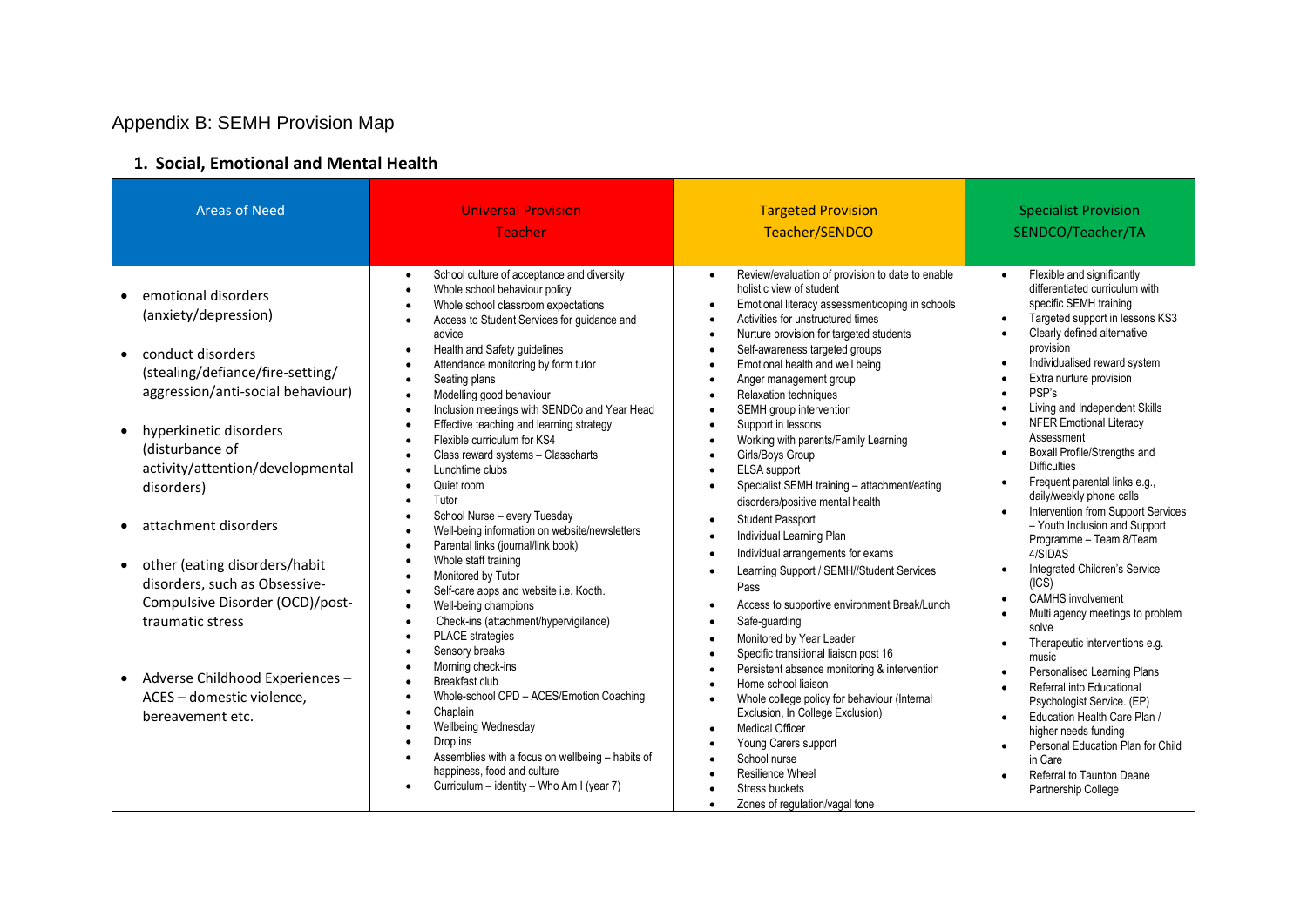# Appendix B: SEMH Provision Map

# **1. Social, Emotional and Mental Health**

| <b>Areas of Need</b>                                                                                                                                                                                                                                                                                                                                                                                                                                                                                                                             | <b>Universal Provision</b>                                                                                                                                                                                                                                                                                                                                                                                                                                                                                                                                                                                                                                                                                                                                                                                                                                                                                                                                                                                                                                                                                                                                                                                                                                                  | <b>Targeted Provision</b>                                                                                                                                                                                                                                                                                                                                                                                                                                                                                                                                                                                                                                                                                                                                                                                                                                                                                                                                                                                                                                                                                                                                                                                                                                                                                                                                                                                                                                                                                                                                         | <b>Specialist Provision</b>                                                                                                                                                                                                                                                                                                                                                                                                                                                                                                                                                                                                                                                                                                                                                                                                                                                                                                                                                                                                                                                                                                                                                                                               |
|--------------------------------------------------------------------------------------------------------------------------------------------------------------------------------------------------------------------------------------------------------------------------------------------------------------------------------------------------------------------------------------------------------------------------------------------------------------------------------------------------------------------------------------------------|-----------------------------------------------------------------------------------------------------------------------------------------------------------------------------------------------------------------------------------------------------------------------------------------------------------------------------------------------------------------------------------------------------------------------------------------------------------------------------------------------------------------------------------------------------------------------------------------------------------------------------------------------------------------------------------------------------------------------------------------------------------------------------------------------------------------------------------------------------------------------------------------------------------------------------------------------------------------------------------------------------------------------------------------------------------------------------------------------------------------------------------------------------------------------------------------------------------------------------------------------------------------------------|-------------------------------------------------------------------------------------------------------------------------------------------------------------------------------------------------------------------------------------------------------------------------------------------------------------------------------------------------------------------------------------------------------------------------------------------------------------------------------------------------------------------------------------------------------------------------------------------------------------------------------------------------------------------------------------------------------------------------------------------------------------------------------------------------------------------------------------------------------------------------------------------------------------------------------------------------------------------------------------------------------------------------------------------------------------------------------------------------------------------------------------------------------------------------------------------------------------------------------------------------------------------------------------------------------------------------------------------------------------------------------------------------------------------------------------------------------------------------------------------------------------------------------------------------------------------|---------------------------------------------------------------------------------------------------------------------------------------------------------------------------------------------------------------------------------------------------------------------------------------------------------------------------------------------------------------------------------------------------------------------------------------------------------------------------------------------------------------------------------------------------------------------------------------------------------------------------------------------------------------------------------------------------------------------------------------------------------------------------------------------------------------------------------------------------------------------------------------------------------------------------------------------------------------------------------------------------------------------------------------------------------------------------------------------------------------------------------------------------------------------------------------------------------------------------|
|                                                                                                                                                                                                                                                                                                                                                                                                                                                                                                                                                  | <b>Teacher</b>                                                                                                                                                                                                                                                                                                                                                                                                                                                                                                                                                                                                                                                                                                                                                                                                                                                                                                                                                                                                                                                                                                                                                                                                                                                              | Teacher/SENDCO                                                                                                                                                                                                                                                                                                                                                                                                                                                                                                                                                                                                                                                                                                                                                                                                                                                                                                                                                                                                                                                                                                                                                                                                                                                                                                                                                                                                                                                                                                                                                    | SENDCO/Teacher/TA                                                                                                                                                                                                                                                                                                                                                                                                                                                                                                                                                                                                                                                                                                                                                                                                                                                                                                                                                                                                                                                                                                                                                                                                         |
| emotional disorders<br>$\bullet$<br>(anxiety/depression)<br>conduct disorders<br>$\bullet$<br>(stealing/defiance/fire-setting/<br>aggression/anti-social behaviour)<br>hyperkinetic disorders<br>$\bullet$<br>(disturbance of<br>activity/attention/developmental<br>disorders)<br>attachment disorders<br>$\bullet$<br>other (eating disorders/habit<br>$\bullet$<br>disorders, such as Obsessive-<br>Compulsive Disorder (OCD)/post-<br>traumatic stress<br>• Adverse Childhood Experiences -<br>ACES - domestic violence,<br>bereavement etc. | School culture of acceptance and diversity<br>$\bullet$<br>Whole school behaviour policy<br>$\bullet$<br>Whole school classroom expectations<br>$\bullet$<br>Access to Student Services for guidance and<br>$\bullet$<br>advice<br>Health and Safety guidelines<br>$\bullet$<br>Attendance monitoring by form tutor<br>Seating plans<br>$\bullet$<br>Modelling good behaviour<br>$\bullet$<br>Inclusion meetings with SENDCo and Year Head<br>$\bullet$<br>Effective teaching and learning strategy<br>$\bullet$<br>Flexible curriculum for KS4<br>Class reward systems - Classcharts<br>Lunchtime clubs<br>Quiet room<br>Tutor<br>School Nurse - every Tuesday<br>Well-being information on website/newsletters<br>Parental links (journal/link book)<br>Whole staff training<br>$\bullet$<br>Monitored by Tutor<br>Self-care apps and website i.e. Kooth.<br>Well-being champions<br>$\bullet$<br>Check-ins (attachment/hypervigilance)<br>$\bullet$<br>PLACE strategies<br>Sensory breaks<br>Morning check-ins<br>Breakfast club<br>Whole-school CPD - ACES/Emotion Coaching<br>$\bullet$<br>Chaplain<br>Wellbeing Wednesday<br>Drop ins<br>Assemblies with a focus on wellbeing - habits of<br>happiness, food and culture<br>Curriculum - identity - Who Am I (year 7) | Review/evaluation of provision to date to enable<br>$\bullet$<br>holistic view of student<br>Emotional literacy assessment/coping in schools<br>$\bullet$<br>Activities for unstructured times<br>$\bullet$<br>Nurture provision for targeted students<br>$\bullet$<br>Self-awareness targeted groups<br>$\bullet$<br>Emotional health and well being<br>$\bullet$<br>Anger management group<br>$\bullet$<br>Relaxation techniques<br>$\bullet$<br>SEMH group intervention<br>$\bullet$<br>Support in lessons<br>$\bullet$<br>Working with parents/Family Learning<br>$\bullet$<br>Girls/Boys Group<br><b>ELSA</b> support<br>$\bullet$<br>Specialist SEMH training - attachment/eating<br>$\bullet$<br>disorders/positive mental health<br><b>Student Passport</b><br>$\bullet$<br>Individual Learning Plan<br>$\bullet$<br>Individual arrangements for exams<br>$\bullet$<br>Learning Support / SEMH//Student Services<br>$\bullet$<br>Pass<br>Access to supportive environment Break/Lunch<br>$\bullet$<br>Safe-quarding<br>$\bullet$<br>Monitored by Year Leader<br>$\bullet$<br>Specific transitional liaison post 16<br>$\bullet$<br>Persistent absence monitoring & intervention<br>$\bullet$<br>Home school liaison<br>$\bullet$<br>Whole college policy for behaviour (Internal<br>$\bullet$<br>Exclusion, In College Exclusion)<br><b>Medical Officer</b><br>$\bullet$<br>Young Carers support<br>$\bullet$<br>School nurse<br>$\bullet$<br>Resilience Wheel<br>$\bullet$<br>Stress buckets<br>$\bullet$<br>Zones of regulation/vagal tone<br>$\bullet$ | Flexible and significantly<br>differentiated curriculum with<br>specific SEMH training<br>Targeted support in lessons KS3<br>$\bullet$<br>Clearly defined alternative<br>$\bullet$<br>provision<br>Individualised reward system<br>$\bullet$<br>Extra nurture provision<br>$\bullet$<br>PSP's<br>$\bullet$<br>Living and Independent Skills<br>$\bullet$<br><b>NFER Emotional Literacy</b><br>$\bullet$<br>Assessment<br>Boxall Profile/Strengths and<br>$\bullet$<br><b>Difficulties</b><br>Frequent parental links e.g.,<br>$\bullet$<br>daily/weekly phone calls<br>Intervention from Support Services<br>$\bullet$<br>- Youth Inclusion and Support<br>Programme - Team 8/Team<br>4/SIDAS<br>Integrated Children's Service<br>$\bullet$<br>(ICS)<br><b>CAMHS</b> involvement<br>Multi agency meetings to problem<br>$\bullet$<br>solve<br>Therapeutic interventions e.g.<br>$\bullet$<br>music<br>Personalised Learning Plans<br>$\bullet$<br>Referral into Educational<br>$\bullet$<br>Psychologist Service. (EP)<br>Education Health Care Plan /<br>$\bullet$<br>higher needs funding<br>Personal Education Plan for Child<br>$\bullet$<br>in Care<br>Referral to Taunton Deane<br>$\bullet$<br>Partnership College |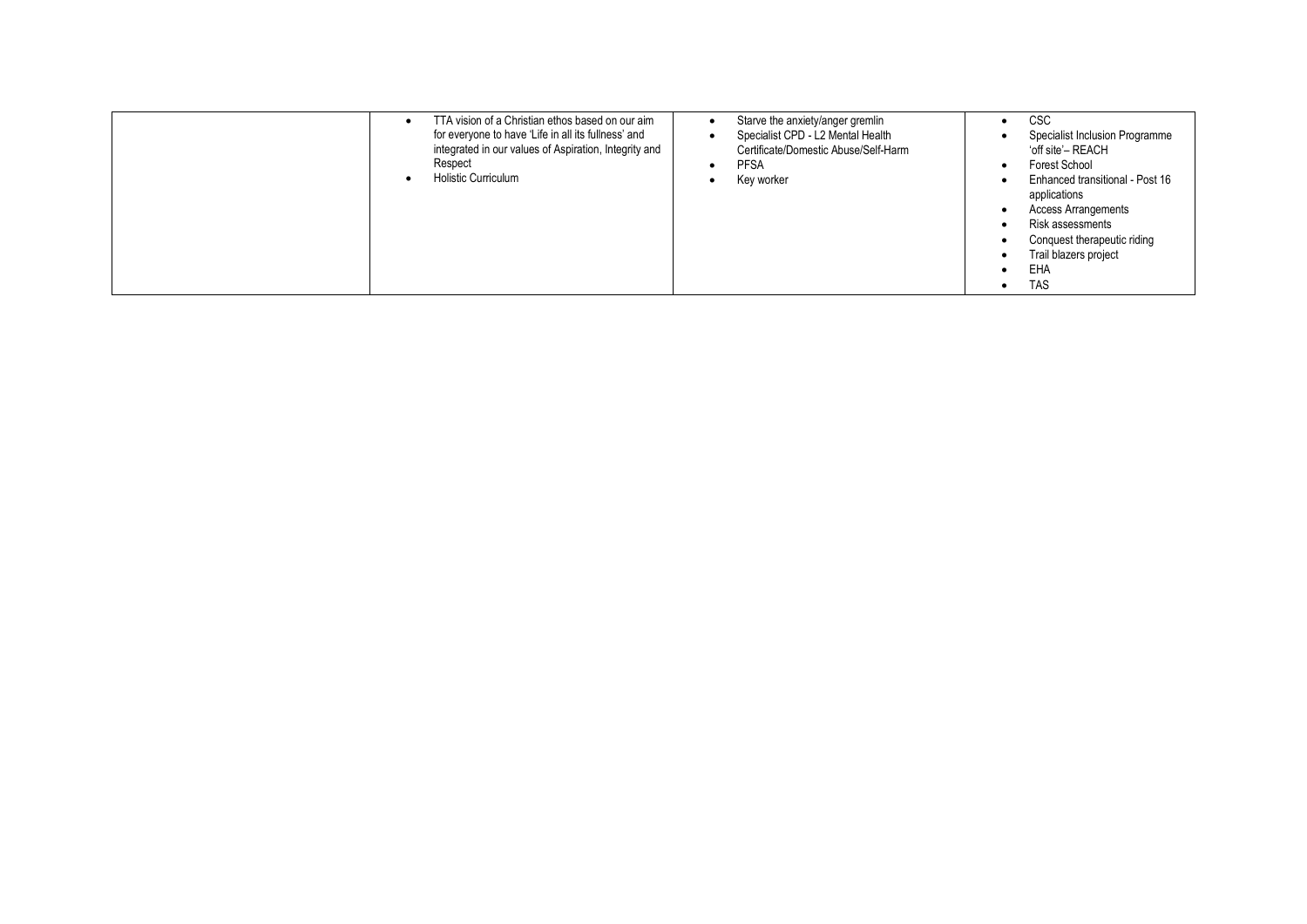| TTA vision of a Christian ethos based on our aim<br>for everyone to have 'Life in all its fullness' and<br>integrated in our values of Aspiration, Integrity and<br>Respect<br><b>Holistic Curriculum</b> | Starve the anxiety/anger gremlin<br>Specialist CPD - L2 Mental Health<br>Certificate/Domestic Abuse/Self-Harm<br><b>PFSA</b><br>Key worker | <b>CSC</b><br>Specialist Inclusion Programme<br>'off site' – REACH<br>Forest School<br>Enhanced transitional - Post 16<br>applications<br><b>Access Arrangements</b><br>Risk assessments<br>Conquest therapeutic riding<br>Trail blazers project<br>EHA<br><b>TAS</b> |
|-----------------------------------------------------------------------------------------------------------------------------------------------------------------------------------------------------------|--------------------------------------------------------------------------------------------------------------------------------------------|-----------------------------------------------------------------------------------------------------------------------------------------------------------------------------------------------------------------------------------------------------------------------|
|-----------------------------------------------------------------------------------------------------------------------------------------------------------------------------------------------------------|--------------------------------------------------------------------------------------------------------------------------------------------|-----------------------------------------------------------------------------------------------------------------------------------------------------------------------------------------------------------------------------------------------------------------------|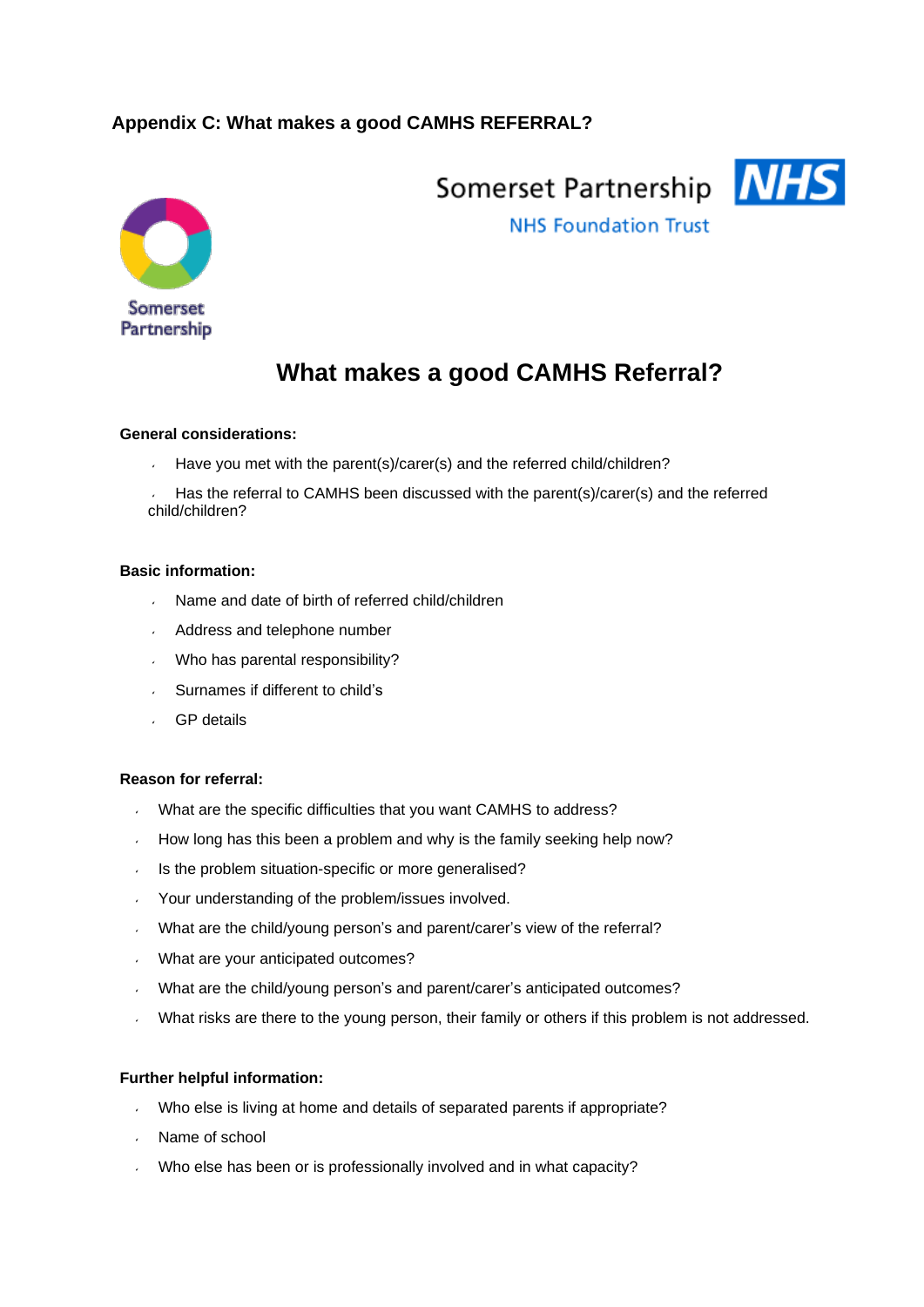# **Appendix C: What makes a good CAMHS REFERRAL?**



Somerset Partnership NHS



**NHS Foundation Trust** 

# **What makes a good CAMHS Referral?**

#### **General considerations:**

 $\mathbf{v}$ Have you met with the parent(s)/carer(s) and the referred child/children?

Has the referral to CAMHS been discussed with the parent(s)/carer(s) and the referred child/children?

#### **Basic information:**

- Name and date of birth of referred child/children
- Address and telephone number
- Who has parental responsibility?
- Surnames if different to child's
- GP details

#### **Reason for referral:**

- What are the specific difficulties that you want CAMHS to address?
- How long has this been a problem and why is the family seeking help now?
- Is the problem situation-specific or more generalised?  $\mathbf{v}$
- Your understanding of the problem/issues involved.  $\mathbf{r}$
- What are the child/young person's and parent/carer's view of the referral?
- What are your anticipated outcomes?
- What are the child/young person's and parent/carer's anticipated outcomes?
- What risks are there to the young person, their family or others if this problem is not addressed.

#### **Further helpful information:**

- Who else is living at home and details of separated parents if appropriate?  $\mathbf{v}$
- Name of school
- Who else has been or is professionally involved and in what capacity?